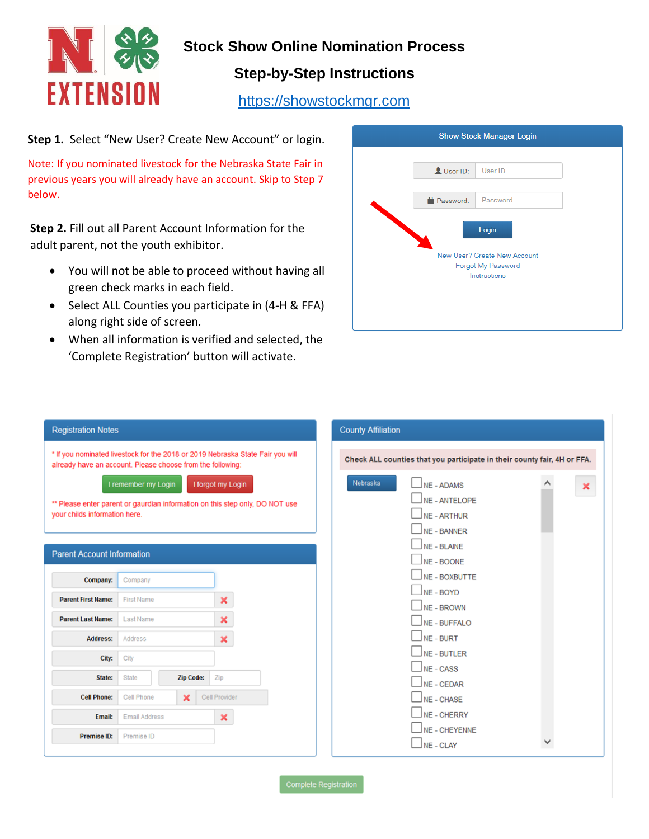

# **Stock Show Online Nomination Process**

# **Step-by-Step Instructions**

[https://showstockmgr.com](https://showstockmgr.com/)

**Step 1.** Select "New User? Create New Account" or login.

Note: If you nominated livestock for the Nebraska State Fair in previous years you will already have an account. Skip to Step 7 below.

**Step 2.** Fill out all Parent Account Information for the adult parent, not the youth exhibitor.

- You will not be able to proceed without having all green check marks in each field.
- Select ALL Counties you participate in (4-H & FFA) along right side of screen.
- When all information is verified and selected, the 'Complete Registration' button will activate.



| <b>Registration Notes</b>                                  |                      |                  |                                                                                | <b>County Affiliation</b>                                                |
|------------------------------------------------------------|----------------------|------------------|--------------------------------------------------------------------------------|--------------------------------------------------------------------------|
| already have an account. Please choose from the following: |                      |                  | * If you nominated livestock for the 2018 or 2019 Nebraska State Fair you will | Check ALL counties that you participate in their county fair, 4H or FFA. |
|                                                            | I remember my Login  |                  | I forgot my Login                                                              | Nebraska<br>$\vert$ NE - ADAMS<br>×                                      |
|                                                            |                      |                  | ** Please enter parent or gaurdian information on this step only. DO NOT use   | $\Box$ NE - ANTELOPE                                                     |
| your childs information here.                              |                      |                  |                                                                                | NE - ARTHUR                                                              |
|                                                            |                      |                  |                                                                                | $\Box$ NE - BANNER                                                       |
| <b>Parent Account Information</b>                          |                      |                  |                                                                                | $\Box$ NE - BLAINE                                                       |
|                                                            |                      |                  |                                                                                | $\Box$ NE - BOONE                                                        |
| Company:                                                   | Company              |                  |                                                                                | $\Box$ NE - BOXBUTTE                                                     |
| <b>Parent First Name:</b>                                  | <b>First Name</b>    |                  | ×                                                                              | $NE - BOYD$                                                              |
|                                                            |                      |                  |                                                                                | $\Box$ NE - BROWN                                                        |
| <b>Parent Last Name:</b>                                   | Last Name            |                  | $\pmb{\times}$                                                                 | $N_E$ - BUFFALO                                                          |
| <b>Address:</b>                                            | Address              |                  | $\boldsymbol{\mathsf{x}}$                                                      | $\Box$ NE - BURT                                                         |
| City:                                                      | City                 |                  |                                                                                | $\Box$ NE - BUTLER                                                       |
|                                                            |                      |                  |                                                                                | $\Box$ NE - CASS                                                         |
| State:                                                     | <b>State</b>         | <b>Zip Code:</b> | Zip                                                                            | $\Box$ NE - CEDAR                                                        |
| <b>Cell Phone:</b>                                         | Cell Phone           | ×                | Cell Provider                                                                  | $\Box$ NE - CHASE                                                        |
| Email:                                                     | <b>Email Address</b> |                  | $\pmb{\times}$                                                                 | $\sqrt{\overline{\text{NE - CHERRY}}}$                                   |
|                                                            |                      |                  |                                                                                | $\Box$ NE - CHEYENNE                                                     |
| Premise ID:                                                | Premise ID           |                  |                                                                                |                                                                          |

**Complete Registration**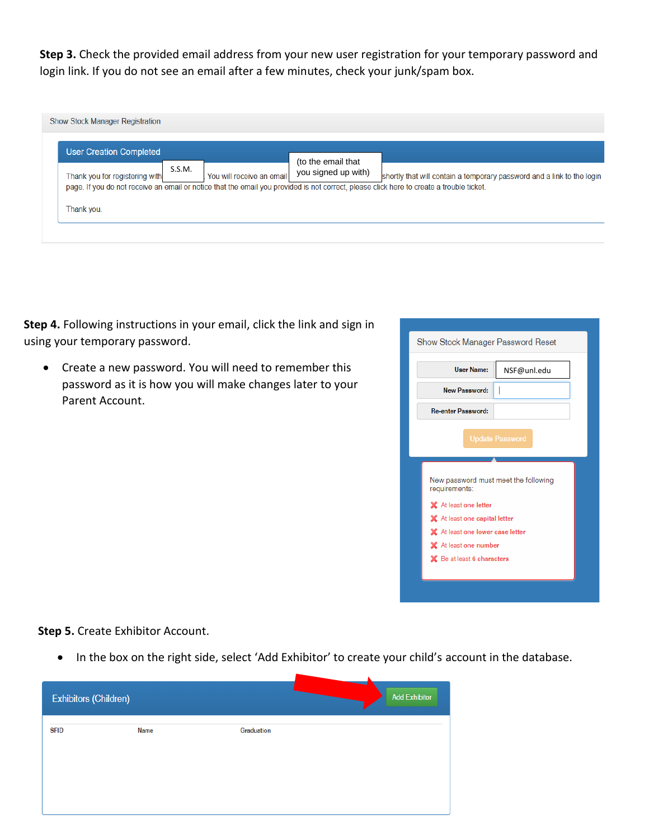**Step 3.** Check the provided email address from your new user registration for your temporary password and login link. If you do not see an email after a few minutes, check your junk/spam box.

| <b>Show Stock Manager Registration</b>       |        |                           |                                           |                                                                                                                                                                                                                    |
|----------------------------------------------|--------|---------------------------|-------------------------------------------|--------------------------------------------------------------------------------------------------------------------------------------------------------------------------------------------------------------------|
| User Creation Completed                      |        |                           |                                           |                                                                                                                                                                                                                    |
| Thank you for registering with<br>Thank you. | S.S.M. | You will receive an email | (to the email that<br>you signed up with) | shortly that will contain a temporary password and a link to the login<br>page. If you do not receive an email or notice that the email you provided is not correct, please click here to create a trouble ticket. |
|                                              |        |                           |                                           |                                                                                                                                                                                                                    |

**Step 4.** Following instructions in your email, click the link and sign in using your temporary password.

• Create a new password. You will need to remember this password as it is how you will make changes later to your Parent Account.

| Show Stock Manager Password Reset                          |
|------------------------------------------------------------|
| User Name:<br>NSF@unl.edu                                  |
| <b>New Password:</b>                                       |
| <b>Re-enter Password:</b>                                  |
| <b>Update Password</b>                                     |
| New password must meet the following<br>requirements:      |
| X At least one letter                                      |
| X At least one capital letter                              |
| X At least one lower case letter                           |
| X At least one number<br><b>X</b> Be at least 6 characters |

**Step 5.** Create Exhibitor Account.

• In the box on the right side, select 'Add Exhibitor' to create your child's account in the database.

| Exhibitors (Children) |      |            | <b>Add Exhibitor</b> |
|-----------------------|------|------------|----------------------|
| <b>SFID</b>           | Name | Graduation |                      |
|                       |      |            |                      |
|                       |      |            |                      |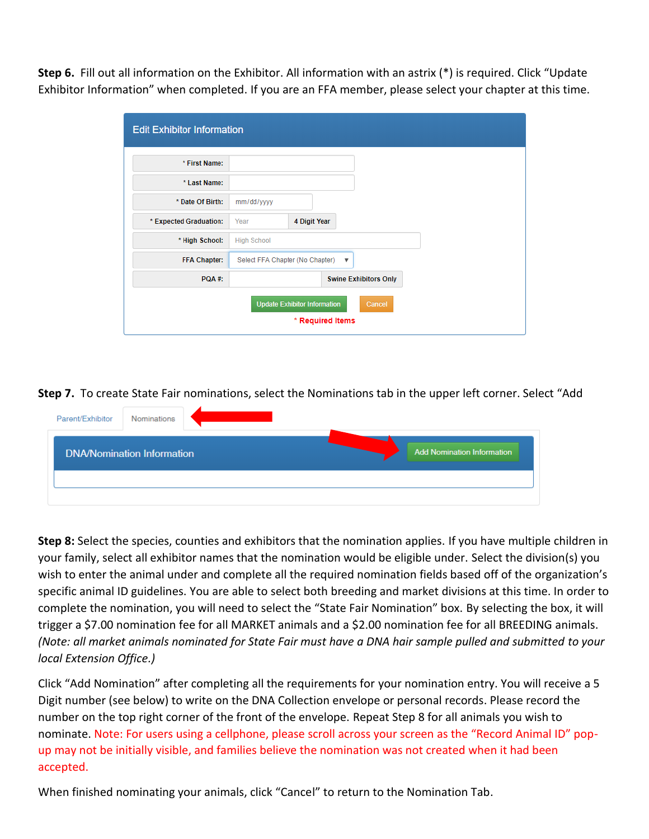**Step 6.** Fill out all information on the Exhibitor. All information with an astrix (\*) is required. Click "Update Exhibitor Information" when completed. If you are an FFA member, please select your chapter at this time.

| * First Name:          |                                     |              |                  |                              |
|------------------------|-------------------------------------|--------------|------------------|------------------------------|
| * Last Name:           |                                     |              |                  |                              |
| * Date Of Birth:       |                                     |              |                  |                              |
|                        | mm/dd/yyyy                          |              |                  |                              |
| * Expected Graduation: | Year                                | 4 Digit Year |                  |                              |
| * High School:         | <b>High School</b>                  |              |                  |                              |
| <b>FFA Chapter:</b>    | Select FFA Chapter (No Chapter) ▼   |              |                  |                              |
| PQA#:                  |                                     |              |                  | <b>Swine Exhibitors Only</b> |
|                        | <b>Update Exhibitor Information</b> |              |                  | Cancel                       |
|                        |                                     |              | * Required Items |                              |

**Step 7.** To create State Fair nominations, select the Nominations tab in the upper left corner. Select "Add

| Parent/Exhibitor | Nominations                       |                                   |  |
|------------------|-----------------------------------|-----------------------------------|--|
|                  | <b>DNA/Nomination Information</b> | <b>Add Nomination Information</b> |  |
|                  |                                   |                                   |  |
|                  |                                   |                                   |  |

**Step 8:** Select the species, counties and exhibitors that the nomination applies. If you have multiple children in your family, select all exhibitor names that the nomination would be eligible under. Select the division(s) you wish to enter the animal under and complete all the required nomination fields based off of the organization's specific animal ID guidelines. You are able to select both breeding and market divisions at this time. In order to complete the nomination, you will need to select the "State Fair Nomination" box. By selecting the box, it will trigger a \$7.00 nomination fee for all MARKET animals and a \$2.00 nomination fee for all BREEDING animals. *(Note: all market animals nominated for State Fair must have a DNA hair sample pulled and submitted to your local Extension Office.)*

Click "Add Nomination" after completing all the requirements for your nomination entry. You will receive a 5 Digit number (see below) to write on the DNA Collection envelope or personal records. Please record the number on the top right corner of the front of the envelope. Repeat Step 8 for all animals you wish to nominate. Note: For users using a cellphone, please scroll across your screen as the "Record Animal ID" popup may not be initially visible, and families believe the nomination was not created when it had been accepted.

When finished nominating your animals, click "Cancel" to return to the Nomination Tab.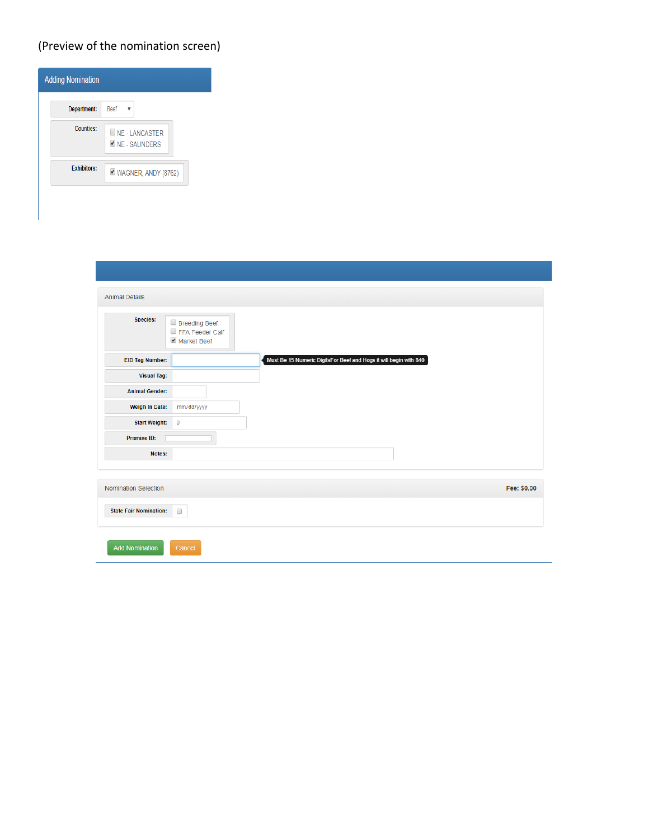## (Preview of the nomination screen)

| <b>Adding Nomination</b> |                                      |
|--------------------------|--------------------------------------|
| Department:              | Beef                                 |
| <b>Counties:</b>         | <b>NE-LANCASTER</b><br>NE - SAUNDERS |
| <b>Exhibitors:</b>       | V WAGNER, ANDY (8762)                |
|                          |                                      |

| <b>Animal Details</b>         |                                                                   |
|-------------------------------|-------------------------------------------------------------------|
| Species:                      | Breeding Beef<br>FFA Feeder Calf<br>Market Beef                   |
| <b>EID Tag Number:</b>        | Must Be 15 Numeric DigitsFor Beef and Hogs it will begin with 840 |
| <b>Visual Tag:</b>            |                                                                   |
| <b>Animal Gender:</b>         |                                                                   |
| Weigh In Date:                | mm/dd/yyyy                                                        |
| <b>Start Weight:</b>          | $\bf{0}$                                                          |
| Premise ID:                   |                                                                   |
| Notes:                        |                                                                   |
|                               |                                                                   |
| Nomination Selection          | Fee: \$0.00                                                       |
| <b>State Fair Nomination:</b> | $\Box$                                                            |
| <b>Add Nomination</b>         | Cancel                                                            |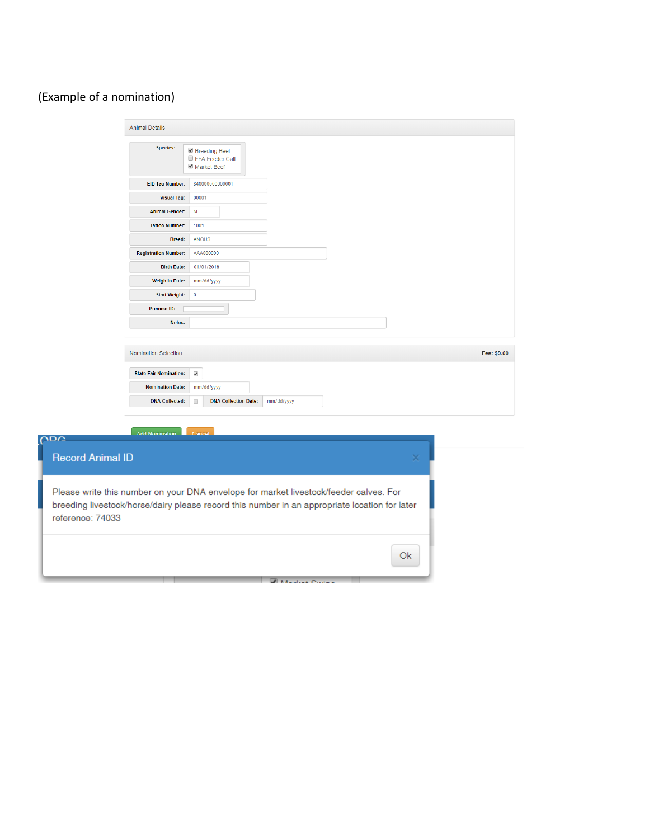## (Example of a nomination)

| <b>Animal Details</b>                                 |                                                                                                                                                                                        |
|-------------------------------------------------------|----------------------------------------------------------------------------------------------------------------------------------------------------------------------------------------|
| Species:                                              | Breeding Beef<br>FFA Feeder Calf<br>Market Beef                                                                                                                                        |
| EID Tag Number:                                       | 840000000000001                                                                                                                                                                        |
| <b>Visual Tag:</b>                                    | 00001                                                                                                                                                                                  |
| <b>Animal Gender:</b>                                 | M                                                                                                                                                                                      |
| <b>Tattoo Number:</b>                                 | 1001                                                                                                                                                                                   |
| Breed:                                                | <b>ANGUS</b>                                                                                                                                                                           |
| <b>Registration Number:</b>                           | AAA000000                                                                                                                                                                              |
| <b>Birth Date:</b>                                    | 01/01/2018                                                                                                                                                                             |
| Weigh In Date:                                        | mm/dd/yyyy                                                                                                                                                                             |
| <b>Start Weight:</b>                                  | $\ddot{\phantom{0}}$                                                                                                                                                                   |
| Premise ID:                                           |                                                                                                                                                                                        |
| Notes:                                                |                                                                                                                                                                                        |
| Nomination Selection<br><b>State Fair Nomination:</b> | Fee: \$9.00                                                                                                                                                                            |
| <b>Nomination Date:</b>                               | $\blacktriangledown$<br>mm/dd/yyyy                                                                                                                                                     |
| <b>DNA Collected:</b>                                 | <b>DNA Collection Date:</b><br>$\Box$<br>mm/dd/yyyy                                                                                                                                    |
|                                                       |                                                                                                                                                                                        |
|                                                       |                                                                                                                                                                                        |
| Add Nomination<br><b>ODC</b>                          |                                                                                                                                                                                        |
| <b>Record Animal ID</b>                               | ×                                                                                                                                                                                      |
| reference: 74033                                      | Please write this number on your DNA envelope for market livestock/feeder calves. For<br>breeding livestock/horse/dairy please record this number in an appropriate location for later |
|                                                       | Ok                                                                                                                                                                                     |
|                                                       | <b>Collaboration Collaboration</b>                                                                                                                                                     |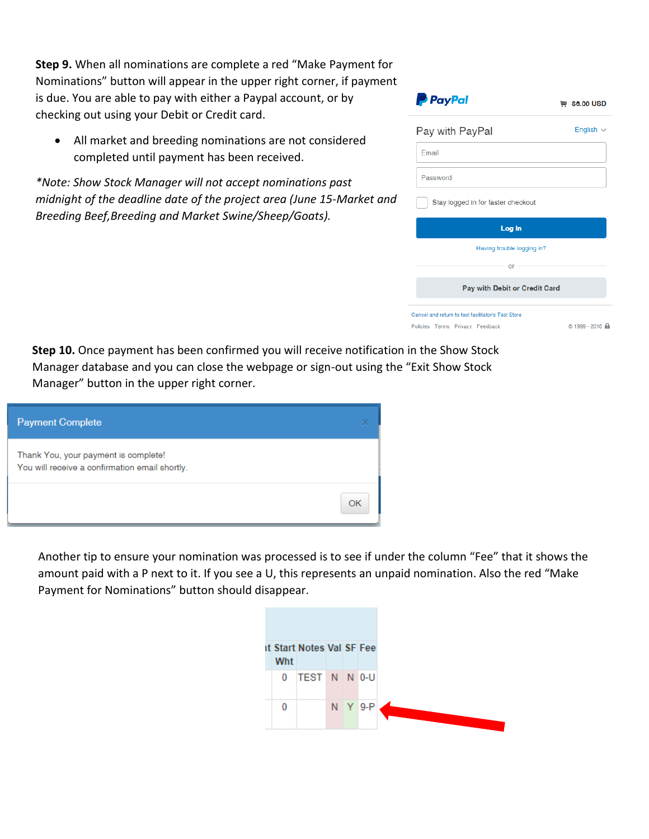**Step 9.** When all nominations are complete a red "Make Payment for Nominations" button will appear in the upper right corner, if payment is due. You are able to pay with either a Paypal account, or by checking out using your Debit or Credit card.

• All market and breeding nominations are not considered completed until payment has been received.

*\*Note: Show Stock Manager will not accept nominations past midnight of the deadline date of the project area (June 15-Market and Breeding Beef,Breeding and Market Swine/Sheep/Goats).*

| <b>P</b> PayPal                    | \ so.oo USD    |
|------------------------------------|----------------|
| Pay with PayPal                    | English $\sim$ |
| Fmail                              |                |
| Password                           |                |
| Stay logged in for faster checkout |                |
| Log In                             |                |
| Having trouble logging in?         |                |
| $-$ or $-$                         |                |
| Pay with Debit or Credit Card      |                |

**Step 10.** Once payment has been confirmed you will receive notification in the Show Stock Manager database and you can close the webpage or sign-out using the "Exit Show Stock Manager" button in the upper right corner.

| <b>Payment Complete</b>                                                                |    |
|----------------------------------------------------------------------------------------|----|
| Thank You, your payment is complete!<br>You will receive a confirmation email shortly. |    |
|                                                                                        | ΩK |

Another tip to ensure your nomination was processed is to see if under the column "Fee" that it shows the amount paid with a P next to it. If you see a U, this represents an unpaid nomination. Also the red "Make Payment for Nominations" button should disappear.

|  | Wht      | <b>it Start Notes Val SF Fee</b> |  |             |
|--|----------|----------------------------------|--|-------------|
|  | $\bf{0}$ | TEST N N 0-U                     |  |             |
|  | 0        |                                  |  | $N$ $Y$ 9-P |